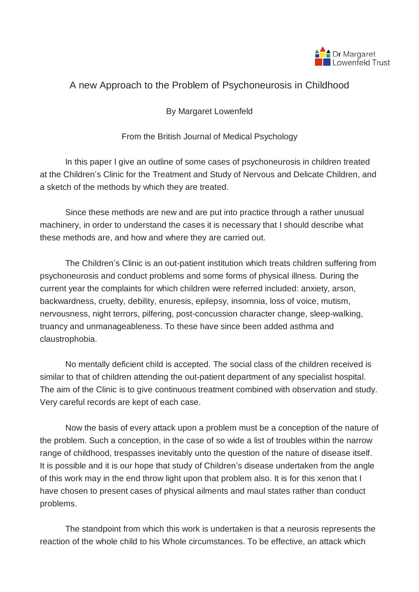

## A new Approach to the Problem of Psychoneurosis in Childhood

By Margaret Lowenfeld

From the British Journal of Medical Psychology

In this paper I give an outline of some cases of psychoneurosis in children treated at the Children's Clinic for the Treatment and Study of Nervous and Delicate Children, and a sketch of the methods by which they are treated.

Since these methods are new and are put into practice through a rather unusual machinery, in order to understand the cases it is necessary that I should describe what these methods are, and how and where they are carried out.

The Children's Clinic is an out-patient institution which treats children suffering from psychoneurosis and conduct problems and some forms of physical illness. During the current year the complaints for which children were referred included: anxiety, arson, backwardness, cruelty, debility, enuresis, epilepsy, insomnia, loss of voice, mutism, nervousness, night terrors, pilfering, post-concussion character change, sleep-walking, truancy and unmanageableness. To these have since been added asthma and claustrophobia.

No mentally deficient child is accepted. The social class of the children received is similar to that of children attending the out-patient department of any specialist hospital. The aim of the Clinic is to give continuous treatment combined with observation and study. Very careful records are kept of each case.

Now the basis of every attack upon a problem must be a conception of the nature of the problem. Such a conception, in the case of so wide a list of troubles within the narrow range of childhood, trespasses inevitably unto the question of the nature of disease itself. It is possible and it is our hope that study of Children's disease undertaken from the angle of this work may in the end throw light upon that problem also. It is for this xenon that I have chosen to present cases of physical ailments and maul states rather than conduct problems.

The standpoint from which this work is undertaken is that a neurosis represents the reaction of the whole child to his Whole circumstances. To be effective, an attack which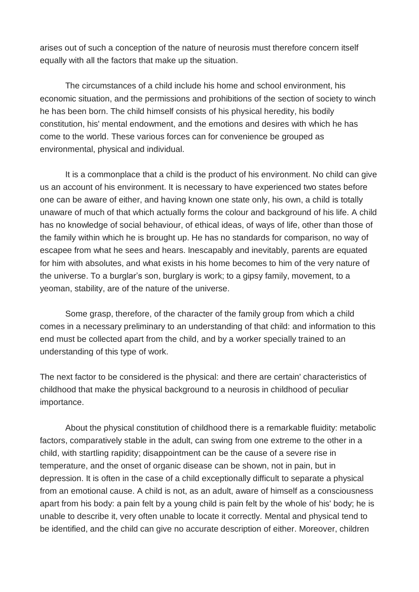arises out of such a conception of the nature of neurosis must therefore concern itself equally with all the factors that make up the situation.

The circumstances of a child include his home and school environment, his economic situation, and the permissions and prohibitions of the section of society to winch he has been born. The child himself consists of his physical heredity, his bodily constitution, his' mental endowment, and the emotions and desires with which he has come to the world. These various forces can for convenience be grouped as environmental, physical and individual.

It is a commonplace that a child is the product of his environment. No child can give us an account of his environment. It is necessary to have experienced two states before one can be aware of either, and having known one state only, his own, a child is totally unaware of much of that which actually forms the colour and background of his life. A child has no knowledge of social behaviour, of ethical ideas, of ways of life, other than those of the family within which he is brought up. He has no standards for comparison, no way of escapee from what he sees and hears. Inescapably and inevitably, parents are equated for him with absolutes, and what exists in his home becomes to him of the very nature of the universe. To a burglar's son, burglary is work; to a gipsy family, movement, to a yeoman, stability, are of the nature of the universe.

Some grasp, therefore, of the character of the family group from which a child comes in a necessary preliminary to an understanding of that child: and information to this end must be collected apart from the child, and by a worker specially trained to an understanding of this type of work.

The next factor to be considered is the physical: and there are certain' characteristics of childhood that make the physical background to a neurosis in childhood of peculiar importance.

About the physical constitution of childhood there is a remarkable fluidity: metabolic factors, comparatively stable in the adult, can swing from one extreme to the other in a child, with startling rapidity; disappointment can be the cause of a severe rise in temperature, and the onset of organic disease can be shown, not in pain, but in depression. It is often in the case of a child exceptionally difficult to separate a physical from an emotional cause. A child is not, as an adult, aware of himself as a consciousness apart from his body: a pain felt by a young child is pain felt by the whole of his' body; he is unable to describe it, very often unable to locate it correctly. Mental and physical tend to be identified, and the child can give no accurate description of either. Moreover, children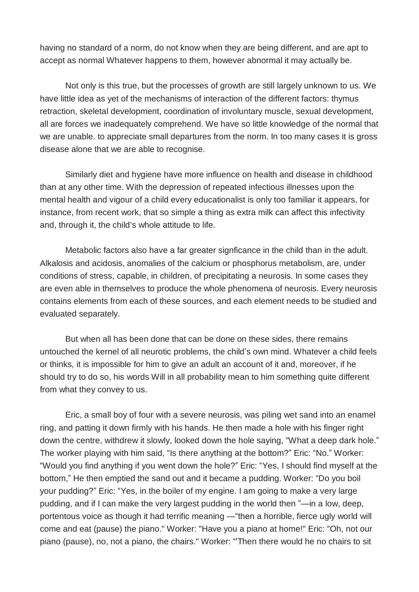having no standard of a norm, do not know when they are being different, and are apt to accept as normal Whatever happens to them, however abnormal it may actually be.

Not only is this true, but the processes of growth are still largely unknown to us. We have little idea as yet of the mechanisms of interaction of the different factors: thymus retraction, skeletal development, coordination of involuntary muscle, sexual development, all are forces we inadequately comprehend. We have so little knowledge of the normal that we are unable. to appreciate small departures from the norm. In too many cases it is gross disease alone that we are able to recognise.

Similarly diet and hygiene have more influence on health and disease in childhood than at any other time. With the depression of repeated infectious illnesses upon the mental health and vigour of a child every educationalist is only too familiar it appears, for instance, from recent work, that so simple a thing as extra milk can affect this infectivity and, through it, the child's whole attitude to life.

Metabolic factors also have a far greater signficance in the child than in the adult. Alkalosis and acidosis, anomalies of the calcium or phosphorus metabolism, are, under conditions of stress, capable, in children, of precipitating a neurosis. In some cases they are even able in themselves to produce the whole phenomena of neurosis. Every neurosis contains elements from each of these sources, and each element needs to be studied and evaluated separately.

But when all has been done that can be done on these sides, there remains untouched the kernel of all neurotic problems, the child's own mind. Whatever a child feels or thinks, it is impossible for him to give an adult an account of it and, moreover, if he should try to do so, his words Will in all probability mean to him something quite different from what they convey to us.

Eric, a small boy of four with a severe neurosis, was piling wet sand into an enamel ring, and patting it down firmly with his hands. He then made a hole with his finger right down the centre, withdrew it slowly, looked down the hole saying, "What a deep dark hole." The worker playing with him said, "Is there anything at the bottom?" Eric: "No." Worker: "Would you find anything if you went down the hole?" Eric: "Yes, I should find myself at the bottom," He then emptied the sand out and it became a pudding. Worker: "Do you boil your pudding?" Eric: "Yes, in the boiler of my engine. I am going to make a very large pudding, and if I can make the very largest pudding in the world then "—in a low, deep, portentous voice as though it had terrific meaning —"then a horrible, fierce ugly world will come and eat (pause) the piano." Worker: "Have you a piano at home!" Eric: "Oh, not our piano (pause), no, not a piano, the chairs." Worker: "'Then there would he no chairs to sit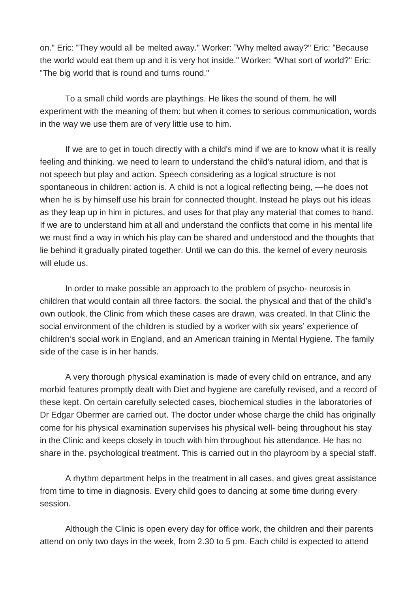on." Eric: "They would all be melted away." Worker: "Why melted away?" Eric: "Because the world would eat them up and it is very hot inside." Worker: "What sort of world?" Eric: "The big world that is round and turns round."

To a small child words are playthings. He likes the sound of them. he will experiment with the meaning of them: but when it comes to serious communication, words in the way we use them are of very little use to him.

If we are to get in touch directly with a child's mind if we are to know what it is really feeling and thinking. we need to learn to understand the child's natural idiom, and that is not speech but play and action. Speech considering as a logical structure is not spontaneous in children: action is. A child is not a logical reflecting being, —he does not when he is by himself use his brain for connected thought. Instead he plays out his ideas as they leap up in him in pictures, and uses for that play any material that comes to hand. If we are to understand him at all and understand the conflicts that come in his mental life we must find a way in which his play can be shared and understood and the thoughts that lie behind it gradually pirated together. Until we can do this. the kernel of every neurosis will elude us.

In order to make possible an approach to the problem of psycho- neurosis in children that would contain all three factors. the social. the physical and that of the child's own outlook, the Clinic from which these cases are drawn, was created. In that Clinic the social environment of the children is studied by a worker with six years' experience of children's social work in England, and an American training in Mental Hygiene. The family side of the case is in her hands.

A very thorough physical examination is made of every child on entrance, and any morbid features promptly dealt with Diet and hygiene are carefully revised, and a record of these kept. On certain carefully selected cases, biochemical studies in the laboratories of Dr Edgar Obermer are carried out. The doctor under whose charge the child has originally come for his physical examination supervises his physical well- being throughout his stay in the Clinic and keeps closely in touch with him throughout his attendance. He has no share in the. psychological treatment. This is carried out in tho playroom by a special staff.

A rhythm department helps in the treatment in all cases, and gives great assistance from time to time in diagnosis. Every child goes to dancing at some time during every session.

Although the Clinic is open every day for office work, the children and their parents attend on only two days in the week, from 2.30 to 5 pm. Each child is expected to attend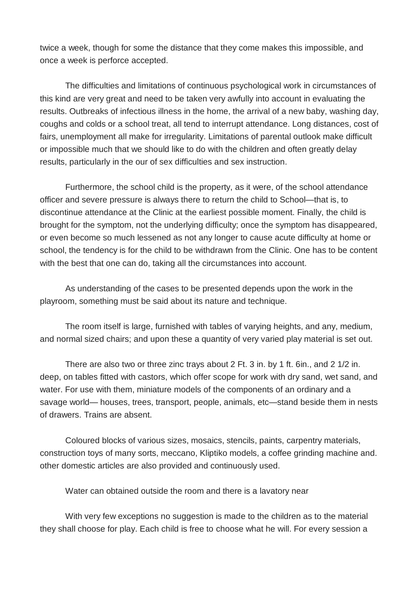twice a week, though for some the distance that they come makes this impossible, and once a week is perforce accepted.

The difficulties and limitations of continuous psychological work in circumstances of this kind are very great and need to be taken very awfully into account in evaluating the results. Outbreaks of infectious illness in the home, the arrival of a new baby, washing day, coughs and colds or a school treat, all tend to interrupt attendance. Long distances, cost of fairs, unemployment all make for irregularity. Limitations of parental outlook make difficult or impossible much that we should like to do with the children and often greatly delay results, particularly in the our of sex difficulties and sex instruction.

Furthermore, the school child is the property, as it were, of the school attendance officer and severe pressure is always there to return the child to School—that is, to discontinue attendance at the Clinic at the earliest possible moment. Finally, the child is brought for the symptom, not the underlying difficulty; once the symptom has disappeared, or even become so much lessened as not any longer to cause acute difficulty at home or school, the tendency is for the child to be withdrawn from the Clinic. One has to be content with the best that one can do, taking all the circumstances into account.

As understanding of the cases to be presented depends upon the work in the playroom, something must be said about its nature and technique.

The room itself is large, furnished with tables of varying heights, and any, medium, and normal sized chairs; and upon these a quantity of very varied play material is set out.

There are also two or three zinc trays about 2 Ft. 3 in. by 1 ft. 6in., and 2 1/2 in. deep, on tables fitted with castors, which offer scope for work with dry sand, wet sand, and water. For use with them, miniature models of the components of an ordinary and a savage world— houses, trees, transport, people, animals, etc—stand beside them in nests of drawers. Trains are absent.

Coloured blocks of various sizes, mosaics, stencils, paints, carpentry materials, construction toys of many sorts, meccano, Kliptiko models, a coffee grinding machine and. other domestic articles are also provided and continuously used.

Water can obtained outside the room and there is a lavatory near

With very few exceptions no suggestion is made to the children as to the material they shall choose for play. Each child is free to choose what he will. For every session a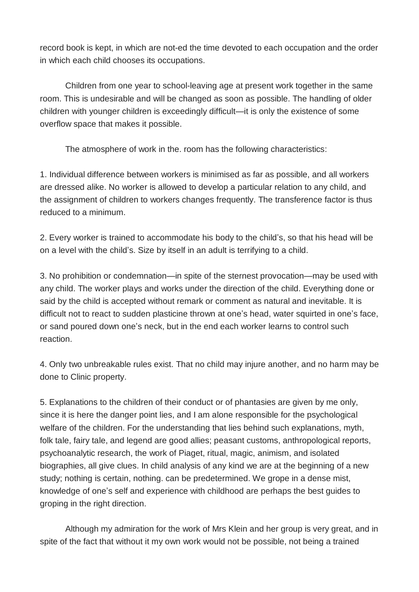record book is kept, in which are not-ed the time devoted to each occupation and the order in which each child chooses its occupations.

Children from one year to school-leaving age at present work together in the same room. This is undesirable and will be changed as soon as possible. The handling of older children with younger children is exceedingly difficult—it is only the existence of some overflow space that makes it possible.

The atmosphere of work in the. room has the following characteristics:

1. Individual difference between workers is minimised as far as possible, and all workers are dressed alike. No worker is allowed to develop a particular relation to any child, and the assignment of children to workers changes frequently. The transference factor is thus reduced to a minimum.

2. Every worker is trained to accommodate his body to the child's, so that his head will be on a level with the child's. Size by itself in an adult is terrifying to a child.

3. No prohibition or condemnation—in spite of the sternest provocation—may be used with any child. The worker plays and works under the direction of the child. Everything done or said by the child is accepted without remark or comment as natural and inevitable. It is difficult not to react to sudden plasticine thrown at one's head, water squirted in one's face, or sand poured down one's neck, but in the end each worker learns to control such reaction.

4. Only two unbreakable rules exist. That no child may injure another, and no harm may be done to Clinic property.

5. Explanations to the children of their conduct or of phantasies are given by me only, since it is here the danger point lies, and I am alone responsible for the psychological welfare of the children. For the understanding that lies behind such explanations, myth, folk tale, fairy tale, and legend are good allies; peasant customs, anthropological reports, psychoanalytic research, the work of Piaget, ritual, magic, animism, and isolated biographies, all give clues. In child analysis of any kind we are at the beginning of a new study; nothing is certain, nothing. can be predetermined. We grope in a dense mist, knowledge of one's self and experience with childhood are perhaps the best guides to groping in the right direction.

Although my admiration for the work of Mrs Klein and her group is very great, and in spite of the fact that without it my own work would not be possible, not being a trained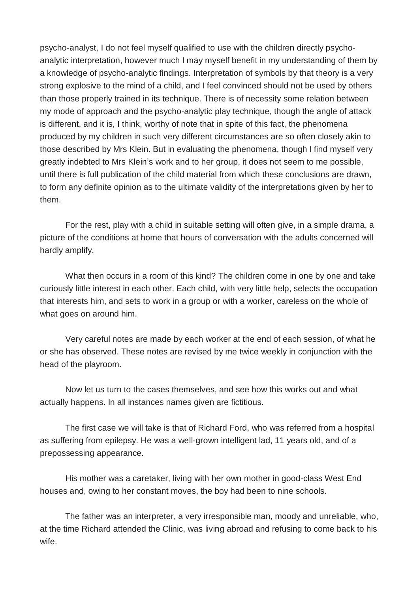psycho-analyst, I do not feel myself qualified to use with the children directly psychoanalytic interpretation, however much I may myself benefit in my understanding of them by a knowledge of psycho-analytic findings. Interpretation of symbols by that theory is a very strong explosive to the mind of a child, and I feel convinced should not be used by others than those properly trained in its technique. There is of necessity some relation between my mode of approach and the psycho-analytic play technique, though the angle of attack is different, and it is, I think, worthy of note that in spite of this fact, the phenomena produced by my children in such very different circumstances are so often closely akin to those described by Mrs Klein. But in evaluating the phenomena, though I find myself very greatly indebted to Mrs Klein's work and to her group, it does not seem to me possible, until there is full publication of the child material from which these conclusions are drawn, to form any definite opinion as to the ultimate validity of the interpretations given by her to them.

For the rest, play with a child in suitable setting will often give, in a simple drama, a picture of the conditions at home that hours of conversation with the adults concerned will hardly amplify.

What then occurs in a room of this kind? The children come in one by one and take curiously little interest in each other. Each child, with very little help, selects the occupation that interests him, and sets to work in a group or with a worker, careless on the whole of what goes on around him.

Very careful notes are made by each worker at the end of each session, of what he or she has observed. These notes are revised by me twice weekly in conjunction with the head of the playroom.

Now let us turn to the cases themselves, and see how this works out and what actually happens. In all instances names given are fictitious.

The first case we will take is that of Richard Ford, who was referred from a hospital as suffering from epilepsy. He was a well-grown intelligent lad, 11 years old, and of a prepossessing appearance.

His mother was a caretaker, living with her own mother in good-class West End houses and, owing to her constant moves, the boy had been to nine schools.

The father was an interpreter, a very irresponsible man, moody and unreliable, who, at the time Richard attended the Clinic, was living abroad and refusing to come back to his wife.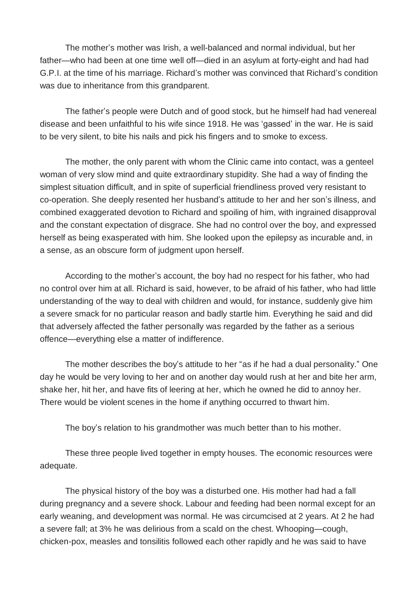The mother's mother was Irish, a well-balanced and normal individual, but her father—who had been at one time well off—died in an asylum at forty-eight and had had G.P.I. at the time of his marriage. Richard's mother was convinced that Richard's condition was due to inheritance from this grandparent.

The father's people were Dutch and of good stock, but he himself had had venereal disease and been unfaithful to his wife since 1918. He was 'gassed' in the war. He is said to be very silent, to bite his nails and pick his fingers and to smoke to excess.

The mother, the only parent with whom the Clinic came into contact, was a genteel woman of very slow mind and quite extraordinary stupidity. She had a way of finding the simplest situation difficult, and in spite of superficial friendliness proved very resistant to co-operation. She deeply resented her husband's attitude to her and her son's illness, and combined exaggerated devotion to Richard and spoiling of him, with ingrained disapproval and the constant expectation of disgrace. She had no control over the boy, and expressed herself as being exasperated with him. She looked upon the epilepsy as incurable and, in a sense, as an obscure form of judgment upon herself.

According to the mother's account, the boy had no respect for his father, who had no control over him at all. Richard is said, however, to be afraid of his father, who had little understanding of the way to deal with children and would, for instance, suddenly give him a severe smack for no particular reason and badly startle him. Everything he said and did that adversely affected the father personally was regarded by the father as a serious offence—everything else a matter of indifference.

The mother describes the boy's attitude to her "as if he had a dual personality." One day he would be very loving to her and on another day would rush at her and bite her arm, shake her, hit her, and have fits of leering at her, which he owned he did to annoy her. There would be violent scenes in the home if anything occurred to thwart him.

The boy's relation to his grandmother was much better than to his mother.

These three people lived together in empty houses. The economic resources were adequate.

The physical history of the boy was a disturbed one. His mother had had a fall during pregnancy and a severe shock. Labour and feeding had been normal except for an early weaning, and development was normal. He was circumcised at 2 years. At 2 he had a severe fall; at 3% he was delirious from a scald on the chest. Whooping—cough, chicken-pox, measles and tonsilitis followed each other rapidly and he was said to have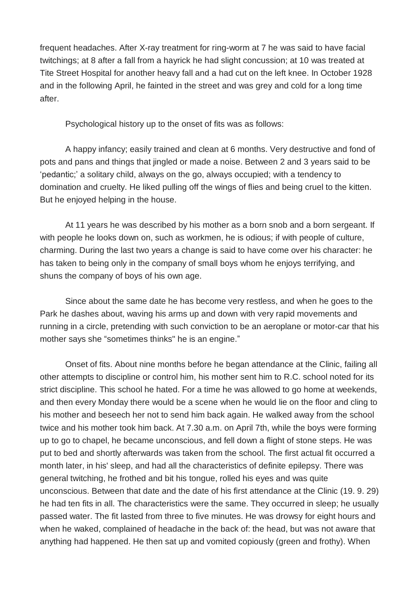frequent headaches. After X-ray treatment for ring-worm at 7 he was said to have facial twitchings; at 8 after a fall from a hayrick he had slight concussion; at 10 was treated at Tite Street Hospital for another heavy fall and a had cut on the left knee. In October 1928 and in the following April, he fainted in the street and was grey and cold for a long time after.

Psychological history up to the onset of fits was as follows:

A happy infancy; easily trained and clean at 6 months. Very destructive and fond of pots and pans and things that jingled or made a noise. Between 2 and 3 years said to be 'pedantic;' a solitary child, always on the go, always occupied; with a tendency to domination and cruelty. He liked pulling off the wings of flies and being cruel to the kitten. But he enjoyed helping in the house.

At 11 years he was described by his mother as a born snob and a born sergeant. If with people he looks down on, such as workmen, he is odious; if with people of culture, charming. During the last two years a change is said to have come over his character: he has taken to being only in the company of small boys whom he enjoys terrifying, and shuns the company of boys of his own age.

Since about the same date he has become very restless, and when he goes to the Park he dashes about, waving his arms up and down with very rapid movements and running in a circle, pretending with such conviction to be an aeroplane or motor-car that his mother says she "sometimes thinks" he is an engine."

Onset of fits. About nine months before he began attendance at the Clinic, failing all other attempts to discipline or control him, his mother sent him to R.C. school noted for its strict discipline. This school he hated. For a time he was allowed to go home at weekends, and then every Monday there would be a scene when he would lie on the floor and cling to his mother and beseech her not to send him back again. He walked away from the school twice and his mother took him back. At 7.30 a.m. on April 7th, while the boys were forming up to go to chapel, he became unconscious, and fell down a flight of stone steps. He was put to bed and shortly afterwards was taken from the school. The first actual fit occurred a month later, in his' sleep, and had all the characteristics of definite epilepsy. There was general twitching, he frothed and bit his tongue, rolled his eyes and was quite unconscious. Between that date and the date of his first attendance at the Clinic (19. 9. 29) he had ten fits in all. The characteristics were the same. They occurred in sleep; he usually passed water. The fit lasted from three to five minutes. He was drowsy for eight hours and when he waked, complained of headache in the back of: the head, but was not aware that anything had happened. He then sat up and vomited copiously (green and frothy). When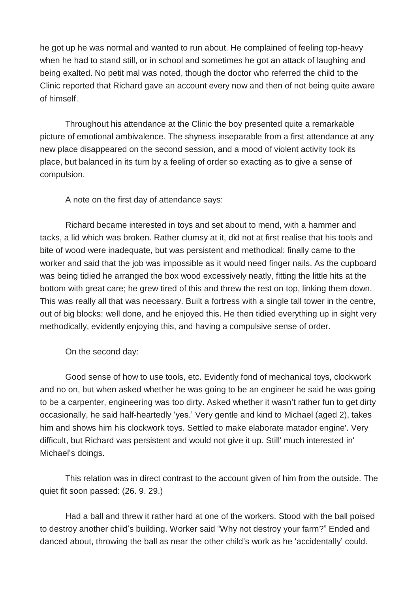he got up he was normal and wanted to run about. He complained of feeling top-heavy when he had to stand still, or in school and sometimes he got an attack of laughing and being exalted. No petit mal was noted, though the doctor who referred the child to the Clinic reported that Richard gave an account every now and then of not being quite aware of himself.

Throughout his attendance at the Clinic the boy presented quite a remarkable picture of emotional ambivalence. The shyness inseparable from a first attendance at any new place disappeared on the second session, and a mood of violent activity took its place, but balanced in its turn by a feeling of order so exacting as to give a sense of compulsion.

A note on the first day of attendance says:

Richard became interested in toys and set about to mend, with a hammer and tacks, a lid which was broken. Rather clumsy at it, did not at first realise that his tools and bite of wood were inadequate, but was persistent and methodical: finally came to the worker and said that the job was impossible as it would need finger nails. As the cupboard was being tidied he arranged the box wood excessively neatly, fitting the little hits at the bottom with great care; he grew tired of this and threw the rest on top, linking them down. This was really all that was necessary. Built a fortress with a single tall tower in the centre, out of big blocks: well done, and he enjoyed this. He then tidied everything up in sight very methodically, evidently enjoying this, and having a compulsive sense of order.

On the second day:

Good sense of how to use tools, etc. Evidently fond of mechanical toys, clockwork and no on, but when asked whether he was going to be an engineer he said he was going to be a carpenter, engineering was too dirty. Asked whether it wasn't rather fun to get dirty occasionally, he said half-heartedly 'yes.' Very gentle and kind to Michael (aged 2), takes him and shows him his clockwork toys. Settled to make elaborate matador engine'. Very difficult, but Richard was persistent and would not give it up. Still' much interested in' Michael's doings.

This relation was in direct contrast to the account given of him from the outside. The quiet fit soon passed: (26. 9. 29.)

Had a ball and threw it rather hard at one of the workers. Stood with the ball poised to destroy another child's building. Worker said "Why not destroy your farm?" Ended and danced about, throwing the ball as near the other child's work as he 'accidentally' could.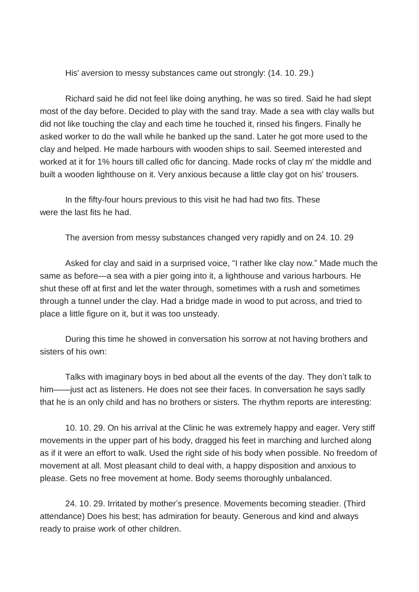His' aversion to messy substances came out strongly: (14. 10. 29.)

Richard said he did not feel like doing anything, he was so tired. Said he had slept most of the day before. Decided to play with the sand tray. Made a sea with clay walls but did not like touching the clay and each time he touched it, rinsed his fingers. Finally he asked worker to do the wall while he banked up the sand. Later he got more used to the clay and helped. He made harbours with wooden ships to sail. Seemed interested and worked at it for 1% hours till called ofic for dancing. Made rocks of clay m' the middle and built a wooden lighthouse on it. Very anxious because a little clay got on his' trousers.

In the fifty-four hours previous to this visit he had had two fits. These were the last fits he had.

The aversion from messy substances changed very rapidly and on 24. 10. 29

Asked for clay and said in a surprised voice, "I rather like clay now." Made much the same as before—a sea with a pier going into it, a lighthouse and various harbours. He shut these off at first and let the water through, sometimes with a rush and sometimes through a tunnel under the clay. Had a bridge made in wood to put across, and tried to place a little figure on it, but it was too unsteady.

During this time he showed in conversation his sorrow at not having brothers and sisters of his own:

Talks with imaginary boys in bed about all the events of the day. They don't talk to him——just act as listeners. He does not see their faces. In conversation he says sadly that he is an only child and has no brothers or sisters. The rhythm reports are interesting:

10. 10. 29. On his arrival at the Clinic he was extremely happy and eager. Very stiff movements in the upper part of his body, dragged his feet in marching and lurched along as if it were an effort to walk. Used the right side of his body when possible. No freedom of movement at all. Most pleasant child to deal with, a happy disposition and anxious to please. Gets no free movement at home. Body seems thoroughly unbalanced.

24. 10. 29. Irritated by mother's presence. Movements becoming steadier. (Third attendance) Does his best; has admiration for beauty. Generous and kind and always ready to praise work of other children.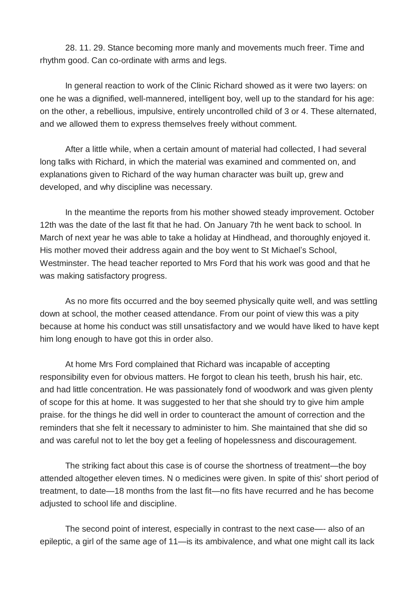28. 11. 29. Stance becoming more manly and movements much freer. Time and rhythm good. Can co-ordinate with arms and legs.

In general reaction to work of the Clinic Richard showed as it were two layers: on one he was a dignified, well-mannered, intelligent boy, well up to the standard for his age: on the other, a rebellious, impulsive, entirely uncontrolled child of 3 or 4. These alternated, and we allowed them to express themselves freely without comment.

After a little while, when a certain amount of material had collected, I had several long talks with Richard, in which the material was examined and commented on, and explanations given to Richard of the way human character was built up, grew and developed, and why discipline was necessary.

In the meantime the reports from his mother showed steady improvement. October 12th was the date of the last fit that he had. On January 7th he went back to school. In March of next year he was able to take a holiday at Hindhead, and thoroughly enjoyed it. His mother moved their address again and the boy went to St Michael's School, Westminster. The head teacher reported to Mrs Ford that his work was good and that he was making satisfactory progress.

As no more fits occurred and the boy seemed physically quite well, and was settling down at school, the mother ceased attendance. From our point of view this was a pity because at home his conduct was still unsatisfactory and we would have liked to have kept him long enough to have got this in order also.

At home Mrs Ford complained that Richard was incapable of accepting responsibility even for obvious matters. He forgot to clean his teeth, brush his hair, etc. and had little concentration. He was passionately fond of woodwork and was given plenty of scope for this at home. It was suggested to her that she should try to give him ample praise. for the things he did well in order to counteract the amount of correction and the reminders that she felt it necessary to administer to him. She maintained that she did so and was careful not to let the boy get a feeling of hopelessness and discouragement.

The striking fact about this case is of course the shortness of treatment—the boy attended altogether eleven times. N o medicines were given. In spite of this' short period of treatment, to date—18 months from the last fit—no fits have recurred and he has become adjusted to school life and discipline.

The second point of interest, especially in contrast to the next case—- also of an epileptic, a girl of the same age of 11—is its ambivalence, and what one might call its lack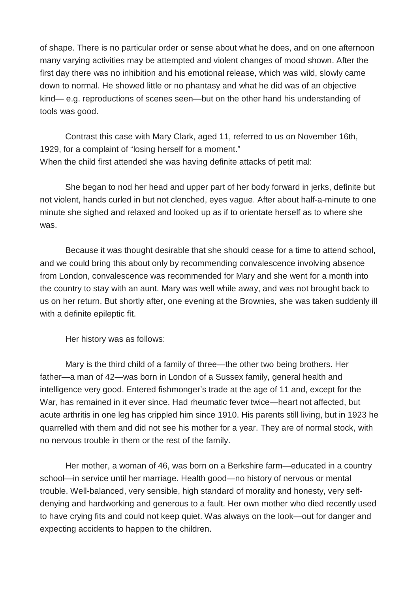of shape. There is no particular order or sense about what he does, and on one afternoon many varying activities may be attempted and violent changes of mood shown. After the first day there was no inhibition and his emotional release, which was wild, slowly came down to normal. He showed little or no phantasy and what he did was of an objective kind— e.g. reproductions of scenes seen—but on the other hand his understanding of tools was good.

Contrast this case with Mary Clark, aged 11, referred to us on November 16th, 1929, for a complaint of "losing herself for a moment." When the child first attended she was having definite attacks of petit mal:

She began to nod her head and upper part of her body forward in jerks, definite but not violent, hands curled in but not clenched, eyes vague. After about half-a-minute to one minute she sighed and relaxed and looked up as if to orientate herself as to where she was.

Because it was thought desirable that she should cease for a time to attend school, and we could bring this about only by recommending convalescence involving absence from London, convalescence was recommended for Mary and she went for a month into the country to stay with an aunt. Mary was well while away, and was not brought back to us on her return. But shortly after, one evening at the Brownies, she was taken suddenly ill with a definite epileptic fit.

Her history was as follows:

Mary is the third child of a family of three—the other two being brothers. Her father—a man of 42—was born in London of a Sussex family, general health and intelligence very good. Entered fishmonger's trade at the age of 11 and, except for the War, has remained in it ever since. Had rheumatic fever twice—heart not affected, but acute arthritis in one leg has crippled him since 1910. His parents still living, but in 1923 he quarrelled with them and did not see his mother for a year. They are of normal stock, with no nervous trouble in them or the rest of the family.

Her mother, a woman of 46, was born on a Berkshire farm—educated in a country school—in service until her marriage. Health good—no history of nervous or mental trouble. Well-balanced, very sensible, high standard of morality and honesty, very selfdenying and hardworking and generous to a fault. Her own mother who died recently used to have crying fits and could not keep quiet. Was always on the look—out for danger and expecting accidents to happen to the children.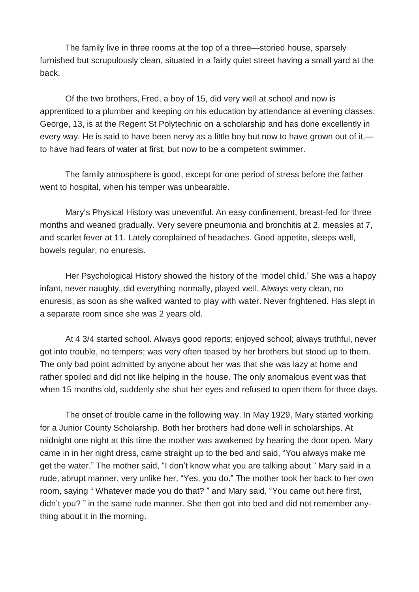The family live in three rooms at the top of a three—storied house, sparsely furnished but scrupulously clean, situated in a fairly quiet street having a small yard at the back.

Of the two brothers, Fred, a boy of 15, did very well at school and now is apprenticed to a plumber and keeping on his education by attendance at evening classes. George, 13, is at the Regent St Polytechnic on a scholarship and has done excellently in every way. He is said to have been nervy as a little boy but now to have grown out of it, to have had fears of water at first, but now to be a competent swimmer.

The family atmosphere is good, except for one period of stress before the father went to hospital, when his temper was unbearable.

Mary's Physical History was uneventful. An easy confinement, breast-fed for three months and weaned gradually. Very severe pneumonia and bronchitis at 2, measles at 7, and scarlet fever at 11. Lately complained of headaches. Good appetite, sleeps well, bowels regular, no enuresis.

Her Psychological History showed the history of the 'model child.' She was a happy infant, never naughty, did everything normally, played well. Always very clean, no enuresis, as soon as she walked wanted to play with water. Never frightened. Has slept in a separate room since she was 2 years old.

At 4 3/4 started school. Always good reports; enjoyed school; always truthful, never got into trouble, no tempers; was very often teased by her brothers but stood up to them. The only bad point admitted by anyone about her was that she was lazy at home and rather spoiled and did not like helping in the house. The only anomalous event was that when 15 months old, suddenly she shut her eyes and refused to open them for three days.

The onset of trouble came in the following way. In May 1929, Mary started working for a Junior County Scholarship. Both her brothers had done well in scholarships. At midnight one night at this time the mother was awakened by hearing the door open. Mary came in in her night dress, came straight up to the bed and said, "You always make me get the water." The mother said, "I don't know what you are talking about." Mary said in a rude, abrupt manner, very unlike her, "Yes, you do." The mother took her back to her own room, saying " Whatever made you do that? " and Mary said, "You came out here first, didn't you? " in the same rude manner. She then got into bed and did not remember anything about it in the morning.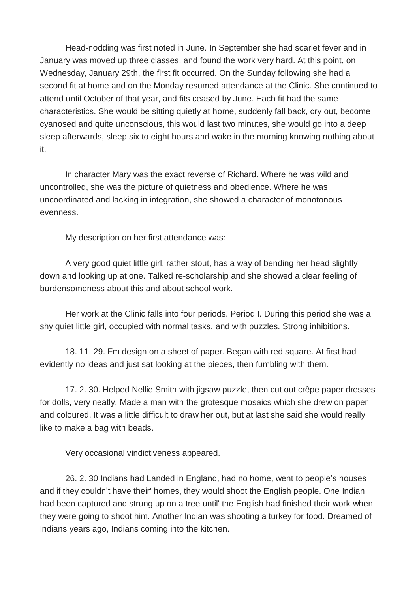Head-nodding was first noted in June. In September she had scarlet fever and in January was moved up three classes, and found the work very hard. At this point, on Wednesday, January 29th, the first fit occurred. On the Sunday following she had a second fit at home and on the Monday resumed attendance at the Clinic. She continued to attend until October of that year, and fits ceased by June. Each fit had the same characteristics. She would be sitting quietly at home, suddenly fall back, cry out, become cyanosed and quite unconscious, this would last two minutes, she would go into a deep sleep afterwards, sleep six to eight hours and wake in the morning knowing nothing about it.

In character Mary was the exact reverse of Richard. Where he was wild and uncontrolled, she was the picture of quietness and obedience. Where he was uncoordinated and lacking in integration, she showed a character of monotonous evenness.

My description on her first attendance was:

A very good quiet little girl, rather stout, has a way of bending her head slightly down and looking up at one. Talked re-scholarship and she showed a clear feeling of burdensomeness about this and about school work.

Her work at the Clinic falls into four periods. Period I. During this period she was a shy quiet little girl, occupied with normal tasks, and with puzzles. Strong inhibitions.

18. 11. 29. Fm design on a sheet of paper. Began with red square. At first had evidently no ideas and just sat looking at the pieces, then fumbling with them.

17. 2. 30. Helped Nellie Smith with jigsaw puzzle, then cut out crêpe paper dresses for dolls, very neatly. Made a man with the grotesque mosaics which she drew on paper and coloured. It was a little difficult to draw her out, but at last she said she would really like to make a bag with beads.

Very occasional vindictiveness appeared.

26. 2. 30 Indians had Landed in England, had no home, went to people's houses and if they couldn't have their' homes, they would shoot the English people. One Indian had been captured and strung up on a tree until' the English had finished their work when they were going to shoot him. Another Indian was shooting a turkey for food. Dreamed of Indians years ago, Indians coming into the kitchen.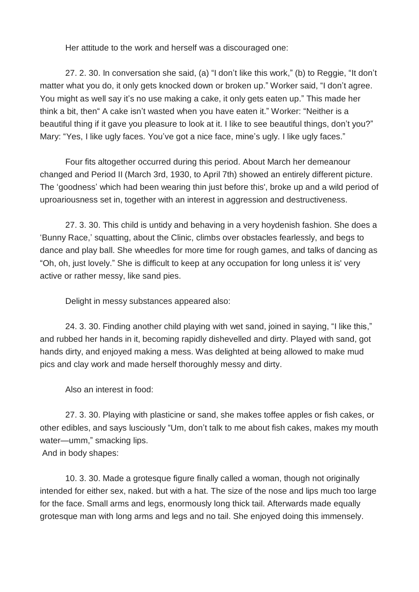Her attitude to the work and herself was a discouraged one:

27. 2. 30. In conversation she said, (a) "I don't like this work," (b) to Reggie, "It don't matter what you do, it only gets knocked down or broken up." Worker said, "I don't agree. You might as well say it's no use making a cake, it only gets eaten up." This made her think a bit, then" A cake isn't wasted when you have eaten it." Worker: "Neither is a beautiful thing if it gave you pleasure to look at it. I like to see beautiful things, don't you?" Mary: "Yes, I like ugly faces. You've got a nice face, mine's ugly. I like ugly faces."

Four fits altogether occurred during this period. About March her demeanour changed and Period II (March 3rd, 1930, to April 7th) showed an entirely different picture. The 'goodness' which had been wearing thin just before this', broke up and a wild period of uproariousness set in, together with an interest in aggression and destructiveness.

27. 3. 30. This child is untidy and behaving in a very hoydenish fashion. She does a 'Bunny Race,' squatting, about the Clinic, climbs over obstacles fearlessly, and begs to dance and play ball. She wheedles for more time for rough games, and talks of dancing as "Oh, oh, just lovely." She is difficult to keep at any occupation for long unless it is' very active or rather messy, like sand pies.

Delight in messy substances appeared also:

24. 3. 30. Finding another child playing with wet sand, joined in saying, "I like this," and rubbed her hands in it, becoming rapidly dishevelled and dirty. Played with sand, got hands dirty, and enjoyed making a mess. Was delighted at being allowed to make mud pics and clay work and made herself thoroughly messy and dirty.

Also an interest in food:

27. 3. 30. Playing with plasticine or sand, she makes toffee apples or fish cakes, or other edibles, and says lusciously "Um, don't talk to me about fish cakes, makes my mouth water—umm," smacking lips.

And in body shapes:

10. 3. 30. Made a grotesque figure finally called a woman, though not originally intended for either sex, naked. but with a hat. The size of the nose and lips much too large for the face. Small arms and legs, enormously long thick tail. Afterwards made equally grotesque man with long arms and legs and no tail. She enjoyed doing this immensely.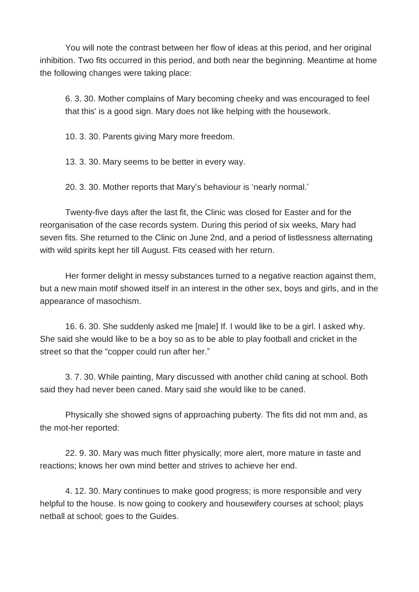You will note the contrast between her flow of ideas at this period, and her original inhibition. Two fits occurred in this period, and both near the beginning. Meantime at home the following changes were taking place:

6. 3. 30. Mother complains of Mary becoming cheeky and was encouraged to feel that this' is a good sign. Mary does not like helping with the housework.

10. 3. 30. Parents giving Mary more freedom.

13. 3. 30. Mary seems to be better in every way.

20. 3. 30. Mother reports that Mary's behaviour is 'nearly normal.'

Twenty-five days after the last fit, the Clinic was closed for Easter and for the reorganisation of the case records system. During this period of six weeks, Mary had seven fits. She returned to the Clinic on June 2nd, and a period of listlessness alternating with wild spirits kept her till August. Fits ceased with her return.

Her former delight in messy substances turned to a negative reaction against them, but a new main motif showed itself in an interest in the other sex, boys and girls, and in the appearance of masochism.

16. 6. 30. She suddenly asked me [male] If. I would like to be a girl. I asked why. She said she would like to be a boy so as to be able to play football and cricket in the street so that the "copper could run after her."

3. 7. 30. While painting, Mary discussed with another child caning at school. Both said they had never been caned. Mary said she would like to be caned.

Physically she showed signs of approaching puberty. The fits did not mm and, as the mot-her reported:

22. 9. 30. Mary was much fitter physically; more alert, more mature in taste and reactions; knows her own mind better and strives to achieve her end.

4. 12. 30. Mary continues to make good progress; is more responsible and very helpful to the house. Is now going to cookery and housewifery courses at school; plays netball at school; goes to the Guides.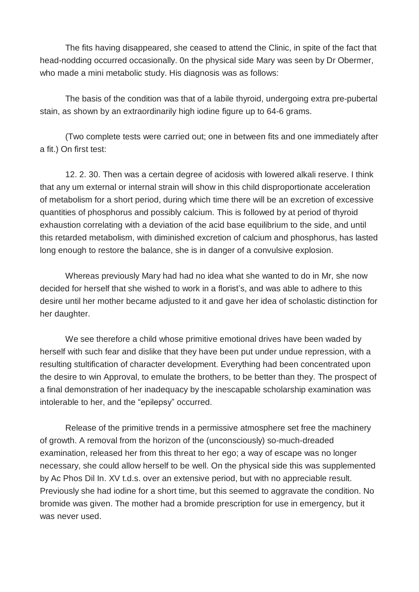The fits having disappeared, she ceased to attend the Clinic, in spite of the fact that head-nodding occurred occasionally. 0n the physical side Mary was seen by Dr Obermer, who made a mini metabolic study. His diagnosis was as follows:

The basis of the condition was that of a labile thyroid, undergoing extra pre-pubertal stain, as shown by an extraordinarily high iodine figure up to 64-6 grams.

(Two complete tests were carried out; one in between fits and one immediately after a fit.) On first test:

12. 2. 30. Then was a certain degree of acidosis with lowered alkali reserve. I think that any um external or internal strain will show in this child disproportionate acceleration of metabolism for a short period, during which time there will be an excretion of excessive quantities of phosphorus and possibly calcium. This is followed by at period of thyroid exhaustion correlating with a deviation of the acid base equilibrium to the side, and until this retarded metabolism, with diminished excretion of calcium and phosphorus, has lasted long enough to restore the balance, she is in danger of a convulsive explosion.

Whereas previously Mary had had no idea what she wanted to do in Mr, she now decided for herself that she wished to work in a florist's, and was able to adhere to this desire until her mother became adjusted to it and gave her idea of scholastic distinction for her daughter.

We see therefore a child whose primitive emotional drives have been waded by herself with such fear and dislike that they have been put under undue repression, with a resulting stultification of character development. Everything had been concentrated upon the desire to win Approval, to emulate the brothers, to be better than they. The prospect of a final demonstration of her inadequacy by the inescapable scholarship examination was intolerable to her, and the "epilepsy" occurred.

Release of the primitive trends in a permissive atmosphere set free the machinery of growth. A removal from the horizon of the (unconsciously) so-much-dreaded examination, released her from this threat to her ego; a way of escape was no longer necessary, she could allow herself to be well. On the physical side this was supplemented by Ac Phos Dil In. XV t.d.s. over an extensive period, but with no appreciable result. Previously she had iodine for a short time, but this seemed to aggravate the condition. No bromide was given. The mother had a bromide prescription for use in emergency, but it was never used.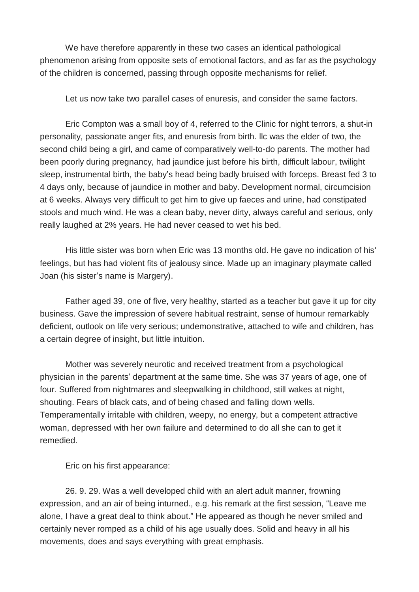We have therefore apparently in these two cases an identical pathological phenomenon arising from opposite sets of emotional factors, and as far as the psychology of the children is concerned, passing through opposite mechanisms for relief.

Let us now take two parallel cases of enuresis, and consider the same factors.

Eric Compton was a small boy of 4, referred to the Clinic for night terrors, a shut-in personality, passionate anger fits, and enuresis from birth. llc was the elder of two, the second child being a girl, and came of comparatively well-to-do parents. The mother had been poorly during pregnancy, had jaundice just before his birth, difficult labour, twilight sleep, instrumental birth, the baby's head being badly bruised with forceps. Breast fed 3 to 4 days only, because of jaundice in mother and baby. Development normal, circumcision at 6 weeks. Always very difficult to get him to give up faeces and urine, had constipated stools and much wind. He was a clean baby, never dirty, always careful and serious, only really laughed at 2% years. He had never ceased to wet his bed.

His little sister was born when Eric was 13 months old. He gave no indication of his' feelings, but has had violent fits of jealousy since. Made up an imaginary playmate called Joan (his sister's name is Margery).

Father aged 39, one of five, very healthy, started as a teacher but gave it up for city business. Gave the impression of severe habitual restraint, sense of humour remarkably deficient, outlook on life very serious; undemonstrative, attached to wife and children, has a certain degree of insight, but little intuition.

Mother was severely neurotic and received treatment from a psychological physician in the parents' department at the same time. She was 37 years of age, one of four. Suffered from nightmares and sleepwalking in childhood, still wakes at night, shouting. Fears of black cats, and of being chased and falling down wells. Temperamentally irritable with children, weepy, no energy, but a competent attractive woman, depressed with her own failure and determined to do all she can to get it remedied.

Eric on his first appearance:

26. 9. 29. Was a well developed child with an alert adult manner, frowning expression, and an air of being inturned., e.g. his remark at the first session, "Leave me alone, I have a great deal to think about." He appeared as though he never smiled and certainly never romped as a child of his age usually does. Solid and heavy in all his movements, does and says everything with great emphasis.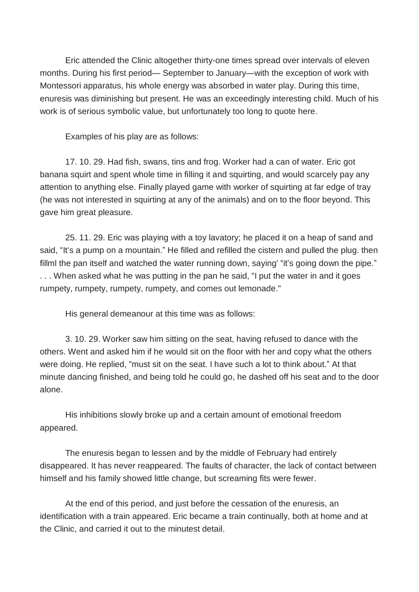Eric attended the Clinic altogether thirty-one times spread over intervals of eleven months. During his first period— September to January—with the exception of work with Montessori apparatus, his whole energy was absorbed in water play. During this time, enuresis was diminishing but present. He was an exceedingly interesting child. Much of his work is of serious symbolic value, but unfortunately too long to quote here.

Examples of his play are as follows:

17. 10. 29. Had fish, swans, tins and frog. Worker had a can of water. Eric got banana squirt and spent whole time in filling it and squirting, and would scarcely pay any attention to anything else. Finally played game with worker of squirting at far edge of tray (he was not interested in squirting at any of the animals) and on to the floor beyond. This gave him great pleasure.

25. 11. 29. Eric was playing with a toy lavatory; he placed it on a heap of sand and said, "It's a pump on a mountain." He filled and refilled the cistern and pulled the plug. then fillml the pan itself and watched the water running down, saying "it's going down the pipe." . . . When asked what he was putting in the pan he said, "I put the water in and it goes rumpety, rumpety, rumpety, rumpety, and comes out lemonade."

His general demeanour at this time was as follows:

3. 10. 29. Worker saw him sitting on the seat, having refused to dance with the others. Went and asked him if he would sit on the floor with her and copy what the others were doing. He replied, "must sit on the seat. I have such a lot to think about." At that minute dancing finished, and being told he could go, he dashed off his seat and to the door alone.

His inhibitions slowly broke up and a certain amount of emotional freedom appeared.

The enuresis began to lessen and by the middle of February had entirely disappeared. It has never reappeared. The faults of character, the lack of contact between himself and his family showed little change, but screaming fits were fewer.

At the end of this period, and just before the cessation of the enuresis, an identification with a train appeared. Eric became a train continually, both at home and at the Clinic, and carried it out to the minutest detail.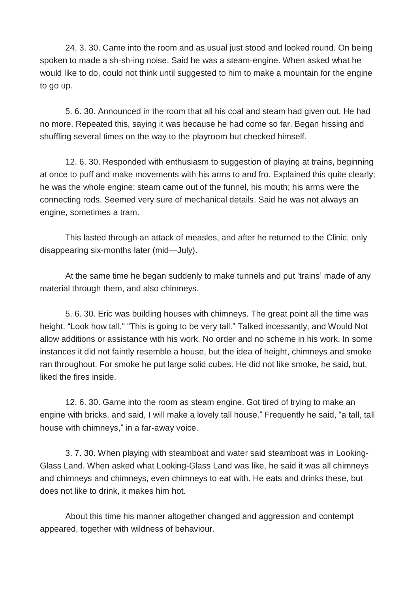24. 3. 30. Came into the room and as usual just stood and looked round. On being spoken to made a sh-sh-ing noise. Said he was a steam-engine. When asked what he would like to do, could not think until suggested to him to make a mountain for the engine to go up.

5. 6. 30. Announced in the room that all his coal and steam had given out. He had no more. Repeated this, saying it was because he had come so far. Began hissing and shuffling several times on the way to the playroom but checked himself.

12. 6. 30. Responded with enthusiasm to suggestion of playing at trains, beginning at once to puff and make movements with his arms to and fro. Explained this quite clearly; he was the whole engine; steam came out of the funnel, his mouth; his arms were the connecting rods. Seemed very sure of mechanical details. Said he was not always an engine, sometimes a tram.

This lasted through an attack of measles, and after he returned to the Clinic, only disappearing six-months later (mid—July).

At the same time he began suddenly to make tunnels and put 'trains' made of any material through them, and also chimneys.

5. 6. 30. Eric was building houses with chimneys. The great point all the time was height. "Look how tall." "This is going to be very tall." Talked incessantly, and Would Not allow additions or assistance with his work. No order and no scheme in his work. In some instances it did not faintly resemble a house, but the idea of height, chimneys and smoke ran throughout. For smoke he put large solid cubes. He did not like smoke, he said, but, liked the fires inside.

12. 6. 30. Game into the room as steam engine. Got tired of trying to make an engine with bricks. and said, I will make a lovely tall house." Frequently he said, "a tall, tall house with chimneys," in a far-away voice.

3. 7. 30. When playing with steamboat and water said steamboat was in Looking-Glass Land. When asked what Looking-Glass Land was like, he said it was all chimneys and chimneys and chimneys, even chimneys to eat with. He eats and drinks these, but does not like to drink, it makes him hot.

About this time his manner altogether changed and aggression and contempt appeared, together with wildness of behaviour.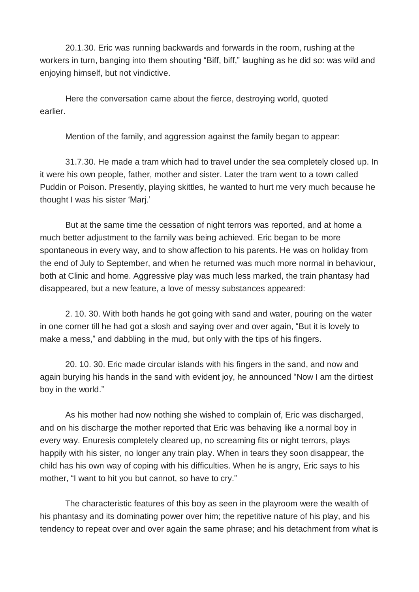20.1.30. Eric was running backwards and forwards in the room, rushing at the workers in turn, banging into them shouting "Biff, biff," laughing as he did so: was wild and enjoying himself, but not vindictive.

Here the conversation came about the fierce, destroying world, quoted earlier.

Mention of the family, and aggression against the family began to appear:

31.7.30. He made a tram which had to travel under the sea completely closed up. In it were his own people, father, mother and sister. Later the tram went to a town called Puddin or Poison. Presently, playing skittles, he wanted to hurt me very much because he thought I was his sister 'Marj.'

But at the same time the cessation of night terrors was reported, and at home a much better adjustment to the family was being achieved. Eric began to be more spontaneous in every way, and to show affection to his parents. He was on holiday from the end of July to September, and when he returned was much more normal in behaviour, both at Clinic and home. Aggressive play was much less marked, the train phantasy had disappeared, but a new feature, a love of messy substances appeared:

2. 10. 30. With both hands he got going with sand and water, pouring on the water in one corner till he had got a slosh and saying over and over again, "But it is lovely to make a mess," and dabbling in the mud, but only with the tips of his fingers.

20. 10. 30. Eric made circular islands with his fingers in the sand, and now and again burying his hands in the sand with evident joy, he announced "Now I am the dirtiest boy in the world."

As his mother had now nothing she wished to complain of, Eric was discharged, and on his discharge the mother reported that Eric was behaving like a normal boy in every way. Enuresis completely cleared up, no screaming fits or night terrors, plays happily with his sister, no longer any train play. When in tears they soon disappear, the child has his own way of coping with his difficulties. When he is angry, Eric says to his mother, "I want to hit you but cannot, so have to cry."

The characteristic features of this boy as seen in the playroom were the wealth of his phantasy and its dominating power over him; the repetitive nature of his play, and his tendency to repeat over and over again the same phrase; and his detachment from what is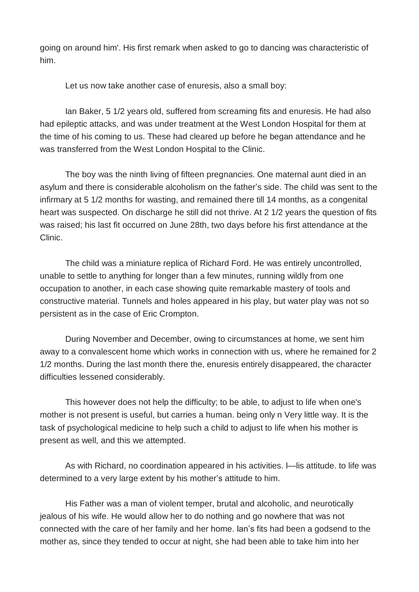going on around him'. His first remark when asked to go to dancing was characteristic of him.

Let us now take another case of enuresis, also a small boy:

Ian Baker, 5 1/2 years old, suffered from screaming fits and enuresis. He had also had epileptic attacks, and was under treatment at the West London Hospital for them at the time of his coming to us. These had cleared up before he began attendance and he was transferred from the West London Hospital to the Clinic.

The boy was the ninth living of fifteen pregnancies. One maternal aunt died in an asylum and there is considerable alcoholism on the father's side. The child was sent to the infirmary at 5 1/2 months for wasting, and remained there till 14 months, as a congenital heart was suspected. On discharge he still did not thrive. At 2 1/2 years the question of fits was raised; his last fit occurred on June 28th, two days before his first attendance at the Clinic.

The child was a miniature replica of Richard Ford. He was entirely uncontrolled, unable to settle to anything for longer than a few minutes, running wildly from one occupation to another, in each case showing quite remarkable mastery of tools and constructive material. Tunnels and holes appeared in his play, but water play was not so persistent as in the case of Eric Crompton.

During November and December, owing to circumstances at home, we sent him away to a convalescent home which works in connection with us, where he remained for 2 1/2 months. During the last month there the, enuresis entirely disappeared, the character difficulties lessened considerably.

This however does not help the difficulty; to be able, to adjust to life when one's mother is not present is useful, but carries a human. being only n Very little way. It is the task of psychological medicine to help such a child to adjust to life when his mother is present as well, and this we attempted.

As with Richard, no coordination appeared in his activities. l—lis attitude. to life was determined to a very large extent by his mother's attitude to him.

His Father was a man of violent temper, brutal and alcoholic, and neurotically jealous of his wife. He would allow her to do nothing and go nowhere that was not connected with the care of her family and her home. Ian's fits had been a godsend to the mother as, since they tended to occur at night, she had been able to take him into her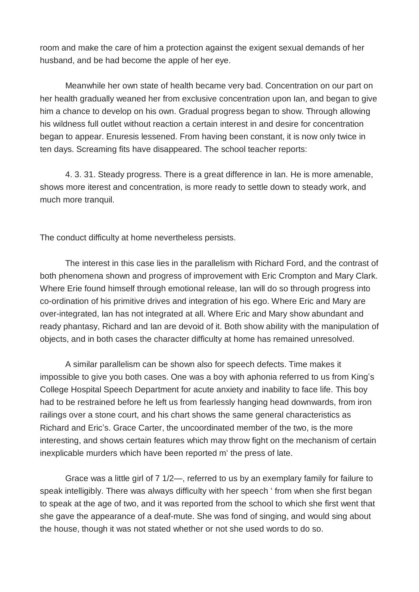room and make the care of him a protection against the exigent sexual demands of her husband, and be had become the apple of her eye.

Meanwhile her own state of health became very bad. Concentration on our part on her health gradually weaned her from exclusive concentration upon Ian, and began to give him a chance to develop on his own. Gradual progress began to show. Through allowing his wildness full outlet without reaction a certain interest in and desire for concentration began to appear. Enuresis lessened. From having been constant, it is now only twice in ten days. Screaming fits have disappeared. The school teacher reports:

4. 3. 31. Steady progress. There is a great difference in Ian. He is more amenable, shows more iterest and concentration, is more ready to settle down to steady work, and much more tranquil.

The conduct difficulty at home nevertheless persists.

The interest in this case lies in the parallelism with Richard Ford, and the contrast of both phenomena shown and progress of improvement with Eric Crompton and Mary Clark. Where Erie found himself through emotional release, Ian will do so through progress into co-ordination of his primitive drives and integration of his ego. Where Eric and Mary are over-integrated, Ian has not integrated at all. Where Eric and Mary show abundant and ready phantasy, Richard and Ian are devoid of it. Both show ability with the manipulation of objects, and in both cases the character difficulty at home has remained unresolved.

A similar parallelism can be shown also for speech defects. Time makes it impossible to give you both cases. One was a boy with aphonia referred to us from King's College Hospital Speech Department for acute anxiety and inability to face life. This boy had to be restrained before he left us from fearlessly hanging head downwards, from iron railings over a stone court, and his chart shows the same general characteristics as Richard and Eric's. Grace Carter, the uncoordinated member of the two, is the more interesting, and shows certain features which may throw fight on the mechanism of certain inexplicable murders which have been reported m' the press of late.

Grace was a little girl of 7 1/2—, referred to us by an exemplary family for failure to speak intelligibly. There was always difficulty with her speech ' from when she first began to speak at the age of two, and it was reported from the school to which she first went that she gave the appearance of a deaf-mute. She was fond of singing, and would sing about the house, though it was not stated whether or not she used words to do so.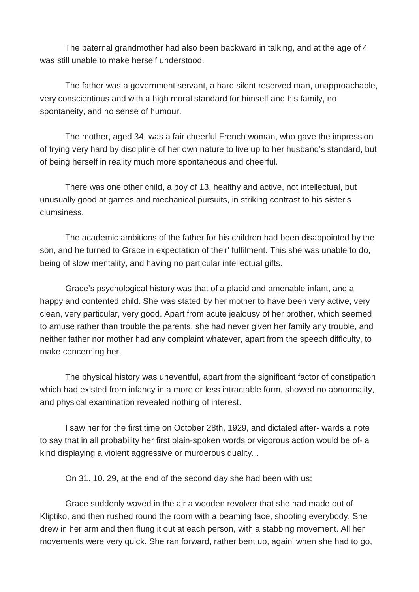The paternal grandmother had also been backward in talking, and at the age of 4 was still unable to make herself understood.

The father was a government servant, a hard silent reserved man, unapproachable, very conscientious and with a high moral standard for himself and his family, no spontaneity, and no sense of humour.

The mother, aged 34, was a fair cheerful French woman, who gave the impression of trying very hard by discipline of her own nature to live up to her husband's standard, but of being herself in reality much more spontaneous and cheerful.

There was one other child, a boy of 13, healthy and active, not intellectual, but unusually good at games and mechanical pursuits, in striking contrast to his sister's clumsiness.

The academic ambitions of the father for his children had been disappointed by the son, and he turned to Grace in expectation of their' fulfilment. This she was unable to do, being of slow mentality, and having no particular intellectual gifts.

Grace's psychological history was that of a placid and amenable infant, and a happy and contented child. She was stated by her mother to have been very active, very clean, very particular, very good. Apart from acute jealousy of her brother, which seemed to amuse rather than trouble the parents, she had never given her family any trouble, and neither father nor mother had any complaint whatever, apart from the speech difficulty, to make concerning her.

The physical history was uneventful, apart from the significant factor of constipation which had existed from infancy in a more or less intractable form, showed no abnormality, and physical examination revealed nothing of interest.

I saw her for the first time on October 28th, 1929, and dictated after- wards a note to say that in all probability her first plain-spoken words or vigorous action would be of- a kind displaying a violent aggressive or murderous quality. .

On 31. 10. 29, at the end of the second day she had been with us:

Grace suddenly waved in the air a wooden revolver that she had made out of Kliptiko, and then rushed round the room with a beaming face, shooting everybody. She drew in her arm and then flung it out at each person, with a stabbing movement. All her movements were very quick. She ran forward, rather bent up, again' when she had to go,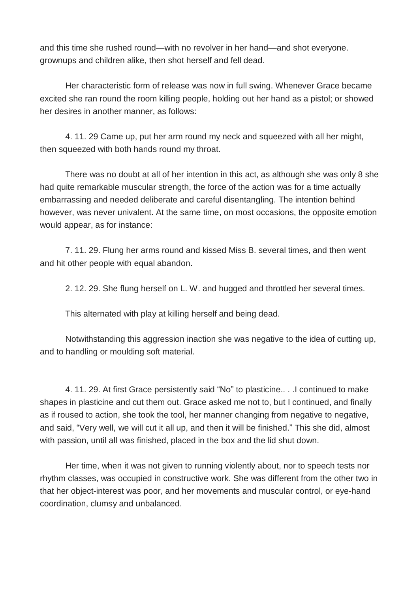and this time she rushed round—with no revolver in her hand—and shot everyone. grownups and children alike, then shot herself and fell dead.

Her characteristic form of release was now in full swing. Whenever Grace became excited she ran round the room killing people, holding out her hand as a pistol; or showed her desires in another manner, as follows:

4. 11. 29 Came up, put her arm round my neck and squeezed with all her might, then squeezed with both hands round my throat.

There was no doubt at all of her intention in this act, as although she was only 8 she had quite remarkable muscular strength, the force of the action was for a time actually embarrassing and needed deliberate and careful disentangling. The intention behind however, was never univalent. At the same time, on most occasions, the opposite emotion would appear, as for instance:

7. 11. 29. Flung her arms round and kissed Miss B. several times, and then went and hit other people with equal abandon.

2. 12. 29. She flung herself on L. W. and hugged and throttled her several times.

This alternated with play at killing herself and being dead.

Notwithstanding this aggression inaction she was negative to the idea of cutting up, and to handling or moulding soft material.

4. 11. 29. At first Grace persistently said "No" to plasticine.. . .I continued to make shapes in plasticine and cut them out. Grace asked me not to, but I continued, and finally as if roused to action, she took the tool, her manner changing from negative to negative, and said, "Very well, we will cut it all up, and then it will be finished." This she did, almost with passion, until all was finished, placed in the box and the lid shut down.

Her time, when it was not given to running violently about, nor to speech tests nor rhythm classes, was occupied in constructive work. She was different from the other two in that her object-interest was poor, and her movements and muscular control, or eye-hand coordination, clumsy and unbalanced.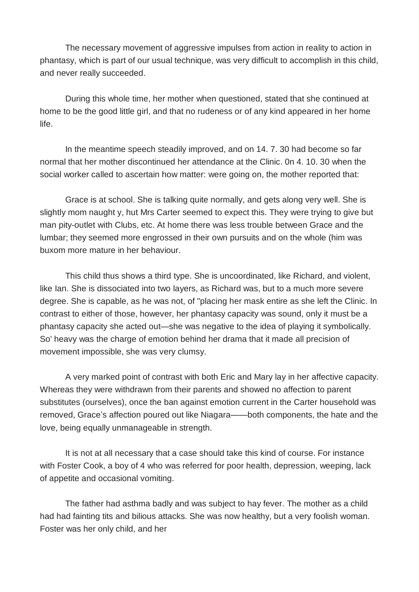The necessary movement of aggressive impulses from action in reality to action in phantasy, which is part of our usual technique, was very difficult to accomplish in this child, and never really succeeded.

During this whole time, her mother when questioned, stated that she continued at home to be the good little girl, and that no rudeness or of any kind appeared in her home life.

In the meantime speech steadily improved, and on 14. 7. 30 had become so far normal that her mother discontinued her attendance at the Clinic. 0n 4. 10. 30 when the social worker called to ascertain how matter: were going on, the mother reported that:

Grace is at school. She is talking quite normally, and gets along very well. She is slightly mom naught y, hut Mrs Carter seemed to expect this. They were trying to give but man pity-outlet with Clubs, etc. At home there was less trouble between Grace and the lumbar; they seemed more engrossed in their own pursuits and on the whole (him was buxom more mature in her behaviour.

This child thus shows a third type. She is uncoordinated, like Richard, and violent, like Ian. She is dissociated into two layers, as Richard was, but to a much more severe degree. She is capable, as he was not, of "placing her mask entire as she left the Clinic. In contrast to either of those, however, her phantasy capacity was sound, only it must be a phantasy capacity she acted out—she was negative to the idea of playing it symbolically. So' heavy was the charge of emotion behind her drama that it made all precision of movement impossible, she was very clumsy.

A very marked point of contrast with both Eric and Mary lay in her affective capacity. Whereas they were withdrawn from their parents and showed no affection to parent substitutes (ourselves), once the ban against emotion current in the Carter household was removed, Grace's affection poured out like Niagara——both components, the hate and the love, being equally unmanageable in strength.

It is not at all necessary that a case should take this kind of course. For instance with Foster Cook, a boy of 4 who was referred for poor health, depression, weeping, lack of appetite and occasional vomiting.

The father had asthma badly and was subject to hay fever. The mother as a child had had fainting tits and bilious attacks. She was now healthy, but a very foolish woman. Foster was her only child, and her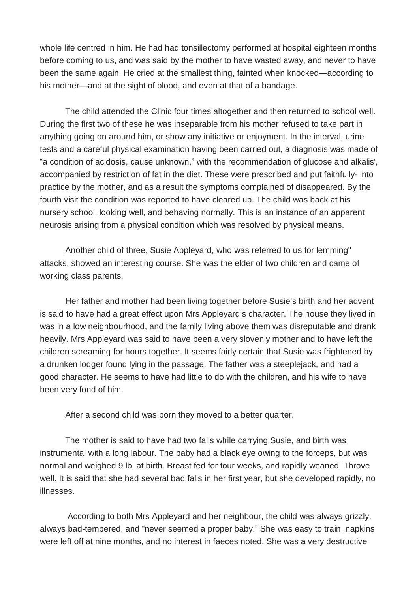whole life centred in him. He had had tonsillectomy performed at hospital eighteen months before coming to us, and was said by the mother to have wasted away, and never to have been the same again. He cried at the smallest thing, fainted when knocked—according to his mother—and at the sight of blood, and even at that of a bandage.

The child attended the Clinic four times altogether and then returned to school well. During the first two of these he was inseparable from his mother refused to take part in anything going on around him, or show any initiative or enjoyment. In the interval, urine tests and a careful physical examination having been carried out, a diagnosis was made of "a condition of acidosis, cause unknown," with the recommendation of glucose and alkalis', accompanied by restriction of fat in the diet. These were prescribed and put faithfully- into practice by the mother, and as a result the symptoms complained of disappeared. By the fourth visit the condition was reported to have cleared up. The child was back at his nursery school, looking well, and behaving normally. This is an instance of an apparent neurosis arising from a physical condition which was resolved by physical means.

Another child of three, Susie Appleyard, who was referred to us for lemming" attacks, showed an interesting course. She was the elder of two children and came of working class parents.

Her father and mother had been living together before Susie's birth and her advent is said to have had a great effect upon Mrs Appleyard's character. The house they lived in was in a low neighbourhood, and the family living above them was disreputable and drank heavily. Mrs Appleyard was said to have been a very slovenly mother and to have left the children screaming for hours together. It seems fairly certain that Susie was frightened by a drunken lodger found lying in the passage. The father was a steeplejack, and had a good character. He seems to have had little to do with the children, and his wife to have been very fond of him.

After a second child was born they moved to a better quarter.

The mother is said to have had two falls while carrying Susie, and birth was instrumental with a long labour. The baby had a black eye owing to the forceps, but was normal and weighed 9 lb. at birth. Breast fed for four weeks, and rapidly weaned. Throve well. It is said that she had several bad falls in her first year, but she developed rapidly, no illnesses.

According to both Mrs Appleyard and her neighbour, the child was always grizzly, always bad-tempered, and "never seemed a proper baby." She was easy to train, napkins were left off at nine months, and no interest in faeces noted. She was a very destructive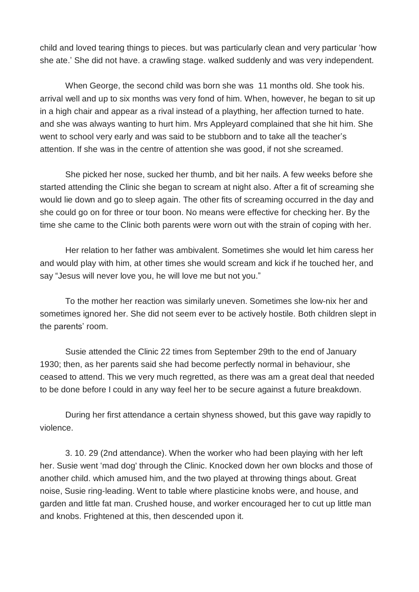child and loved tearing things to pieces. but was particularly clean and very particular 'how she ate.' She did not have. a crawling stage. walked suddenly and was very independent.

When George, the second child was born she was 11 months old. She took his. arrival well and up to six months was very fond of him. When, however, he began to sit up in a high chair and appear as a rival instead of a plaything, her affection turned to hate. and she was always wanting to hurt him. Mrs Appleyard complained that she hit him. She went to school very early and was said to be stubborn and to take all the teacher's attention. If she was in the centre of attention she was good, if not she screamed.

She picked her nose, sucked her thumb, and bit her nails. A few weeks before she started attending the Clinic she began to scream at night also. After a fit of screaming she would lie down and go to sleep again. The other fits of screaming occurred in the day and she could go on for three or tour boon. No means were effective for checking her. By the time she came to the Clinic both parents were worn out with the strain of coping with her.

Her relation to her father was ambivalent. Sometimes she would let him caress her and would play with him, at other times she would scream and kick if he touched her, and say "Jesus will never love you, he will love me but not you."

To the mother her reaction was similarly uneven. Sometimes she low-nix her and sometimes ignored her. She did not seem ever to be actively hostile. Both children slept in the parents' room.

Susie attended the Clinic 22 times from September 29th to the end of January 1930; then, as her parents said she had become perfectly normal in behaviour, she ceased to attend. This we very much regretted, as there was am a great deal that needed to be done before I could in any way feel her to be secure against a future breakdown.

During her first attendance a certain shyness showed, but this gave way rapidly to violence.

3. 10. 29 (2nd attendance). When the worker who had been playing with her left her. Susie went 'mad dog' through the Clinic. Knocked down her own blocks and those of another child. which amused him, and the two played at throwing things about. Great noise, Susie ring-leading. Went to table where plasticine knobs were, and house, and garden and little fat man. Crushed house, and worker encouraged her to cut up little man and knobs. Frightened at this, then descended upon it.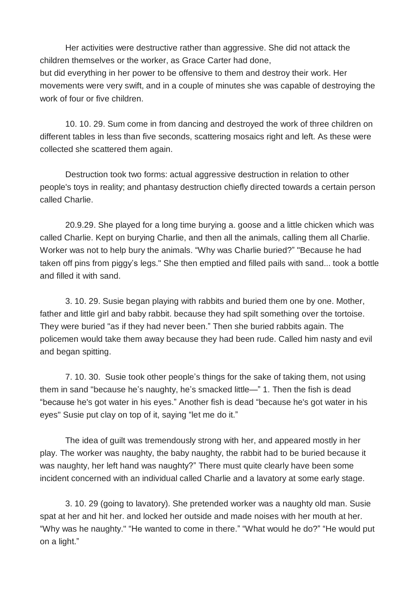Her activities were destructive rather than aggressive. She did not attack the children themselves or the worker, as Grace Carter had done,

but did everything in her power to be offensive to them and destroy their work. Her movements were very swift, and in a couple of minutes she was capable of destroying the work of four or five children.

10. 10. 29. Sum come in from dancing and destroyed the work of three children on different tables in less than five seconds, scattering mosaics right and left. As these were collected she scattered them again.

Destruction took two forms: actual aggressive destruction in relation to other people's toys in reality; and phantasy destruction chiefly directed towards a certain person called Charlie.

20.9.29. She played for a long time burying a. goose and a little chicken which was called Charlie. Kept on burying Charlie, and then all the animals, calling them all Charlie. Worker was not to help bury the animals. "Why was Charlie buried?" "Because he had taken off pins from piggy's legs." She then emptied and filled pails with sand... took a bottle and filled it with sand.

3. 10. 29. Susie began playing with rabbits and buried them one by one. Mother, father and little girl and baby rabbit. because they had spilt something over the tortoise. They were buried "as if they had never been." Then she buried rabbits again. The policemen would take them away because they had been rude. Called him nasty and evil and began spitting.

7. 10. 30. Susie took other people's things for the sake of taking them, not using them in sand "because he's naughty, he's smacked little—" 1. Then the fish is dead "because he's got water in his eyes." Another fish is dead "because he's got water in his eyes" Susie put clay on top of it, saying "let me do it."

The idea of guilt was tremendously strong with her, and appeared mostly in her play. The worker was naughty, the baby naughty, the rabbit had to be buried because it was naughty, her left hand was naughty?" There must quite clearly have been some incident concerned with an individual called Charlie and a lavatory at some early stage.

3. 10. 29 (going to lavatory). She pretended worker was a naughty old man. Susie spat at her and hit her. and locked her outside and made noises with her mouth at her. "Why was he naughty." "He wanted to come in there." "What would he do?" "He would put on a light."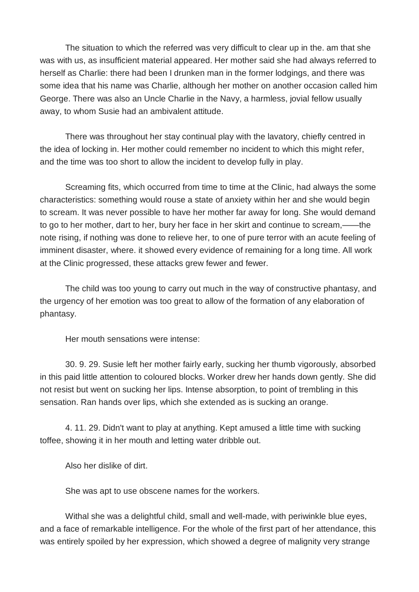The situation to which the referred was very difficult to clear up in the. am that she was with us, as insufficient material appeared. Her mother said she had always referred to herself as Charlie: there had been I drunken man in the former lodgings, and there was some idea that his name was Charlie, although her mother on another occasion called him George. There was also an Uncle Charlie in the Navy, a harmless, jovial fellow usually away, to whom Susie had an ambivalent attitude.

There was throughout her stay continual play with the lavatory, chiefly centred in the idea of locking in. Her mother could remember no incident to which this might refer, and the time was too short to allow the incident to develop fully in play.

Screaming fits, which occurred from time to time at the Clinic, had always the some characteristics: something would rouse a state of anxiety within her and she would begin to scream. It was never possible to have her mother far away for long. She would demand to go to her mother, dart to her, bury her face in her skirt and continue to scream,——the note rising, if nothing was done to relieve her, to one of pure terror with an acute feeling of imminent disaster, where. it showed every evidence of remaining for a long time. All work at the Clinic progressed, these attacks grew fewer and fewer.

The child was too young to carry out much in the way of constructive phantasy, and the urgency of her emotion was too great to allow of the formation of any elaboration of phantasy.

Her mouth sensations were intense:

30. 9. 29. Susie left her mother fairly early, sucking her thumb vigorously, absorbed in this paid little attention to coloured blocks. Worker drew her hands down gently. She did not resist but went on sucking her lips. Intense absorption, to point of trembling in this sensation. Ran hands over lips, which she extended as is sucking an orange.

4. 11. 29. Didn't want to play at anything. Kept amused a little time with sucking toffee, showing it in her mouth and letting water dribble out.

Also her dislike of dirt.

She was apt to use obscene names for the workers.

Withal she was a delightful child, small and well-made, with periwinkle blue eyes, and a face of remarkable intelligence. For the whole of the first part of her attendance, this was entirely spoiled by her expression, which showed a degree of malignity very strange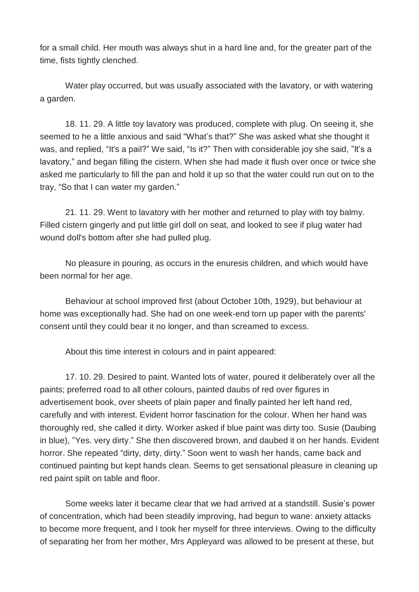for a small child. Her mouth was always shut in a hard line and, for the greater part of the time, fists tightly clenched.

Water play occurred, but was usually associated with the lavatory, or with watering a garden.

18. 11. 29. A little toy lavatory was produced, complete with plug. On seeing it, she seemed to he a little anxious and said "What's that?" She was asked what she thought it was, and replied, "It's a pail?" We said, "Is it?" Then with considerable joy she said, "It's a lavatory," and began filling the cistern. When she had made it flush over once or twice she asked me particularly to fill the pan and hold it up so that the water could run out on to the tray, "So that I can water my garden."

21. 11. 29. Went to lavatory with her mother and returned to play with toy balmy. Filled cistern gingerly and put little girl doll on seat, and looked to see if plug water had wound doll's bottom after she had pulled plug.

No pleasure in pouring, as occurs in the enuresis children, and which would have been normal for her age.

Behaviour at school improved first (about October 10th, 1929), but behaviour at home was exceptionally had. She had on one week-end torn up paper with the parents' consent until they could bear it no longer, and than screamed to excess.

About this time interest in colours and in paint appeared:

17. 10. 29. Desired to paint. Wanted lots of water, poured it deliberately over all the paints; preferred road to all other colours, painted daubs of red over figures in advertisement book, over sheets of plain paper and finally painted her left hand red, carefully and with interest. Evident horror fascination for the colour. When her hand was thoroughly red, she called it dirty. Worker asked if blue paint was dirty too. Susie (Daubing in blue), "Yes. very dirty." She then discovered brown, and daubed it on her hands. Evident horror. She repeated "dirty, dirty, dirty." Soon went to wash her hands, came back and continued painting but kept hands clean. Seems to get sensational pleasure in cleaning up red paint spilt on table and floor.

Some weeks later it became clear that we had arrived at a standstill. Susie's power of concentration, which had been steadily improving, had begun to wane: anxiety attacks to become more frequent, and I took her myself for three interviews. Owing to the difficulty of separating her from her mother, Mrs Appleyard was allowed to be present at these, but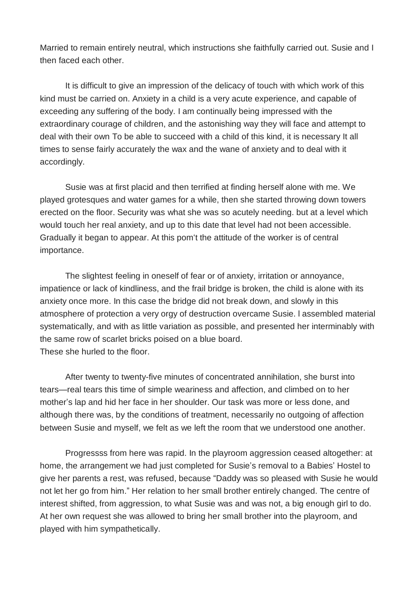Married to remain entirely neutral, which instructions she faithfully carried out. Susie and I then faced each other.

It is difficult to give an impression of the delicacy of touch with which work of this kind must be carried on. Anxiety in a child is a very acute experience, and capable of exceeding any suffering of the body. I am continually being impressed with the extraordinary courage of children, and the astonishing way they will face and attempt to deal with their own To be able to succeed with a child of this kind, it is necessary It all times to sense fairly accurately the wax and the wane of anxiety and to deal with it accordingly.

Susie was at first placid and then terrified at finding herself alone with me. We played grotesques and water games for a while, then she started throwing down towers erected on the floor. Security was what she was so acutely needing. but at a level which would touch her real anxiety, and up to this date that level had not been accessible. Gradually it began to appear. At this pom't the attitude of the worker is of central importance.

The slightest feeling in oneself of fear or of anxiety, irritation or annoyance, impatience or lack of kindliness, and the frail bridge is broken, the child is alone with its anxiety once more. In this case the bridge did not break down, and slowly in this atmosphere of protection a very orgy of destruction overcame Susie. l assembled material systematically, and with as little variation as possible, and presented her interminably with the same row of scarlet bricks poised on a blue board. These she hurled to the floor.

After twenty to twenty-five minutes of concentrated annihilation, she burst into tears—real tears this time of simple weariness and affection, and climbed on to her mother's lap and hid her face in her shoulder. Our task was more or less done, and although there was, by the conditions of treatment, necessarily no outgoing of affection between Susie and myself, we felt as we left the room that we understood one another.

Progressss from here was rapid. In the playroom aggression ceased altogether: at home, the arrangement we had just completed for Susie's removal to a Babies' Hostel to give her parents a rest, was refused, because "Daddy was so pleased with Susie he would not let her go from him." Her relation to her small brother entirely changed. The centre of interest shifted, from aggression, to what Susie was and was not, a big enough girl to do. At her own request she was allowed to bring her small brother into the playroom, and played with him sympathetically.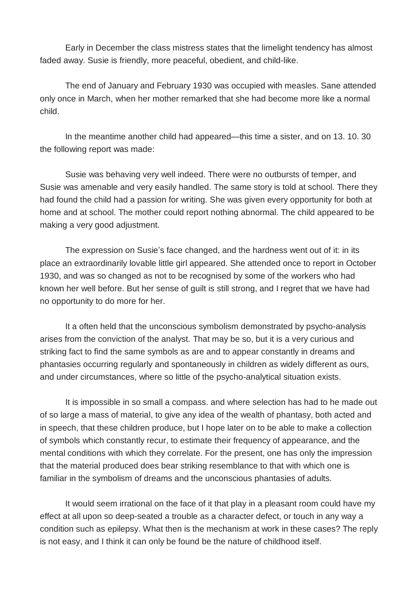Early in December the class mistress states that the limelight tendency has almost faded away. Susie is friendly, more peaceful, obedient, and child-like.

The end of January and February 1930 was occupied with measles. Sane attended only once in March, when her mother remarked that she had become more like a normal child.

In the meantime another child had appeared—this time a sister, and on 13. 10. 30 the following report was made:

Susie was behaving very well indeed. There were no outbursts of temper, and Susie was amenable and very easily handled. The same story is told at school. There they had found the child had a passion for writing. She was given every opportunity for both at home and at school. The mother could report nothing abnormal. The child appeared to be making a very good adjustment.

The expression on Susie's face changed, and the hardness went out of it: in its place an extraordinarily lovable little girl appeared. She attended once to report in October 1930, and was so changed as not to be recognised by some of the workers who had known her well before. But her sense of guilt is still strong, and I regret that we have had no opportunity to do more for her.

It a often held that the unconscious symbolism demonstrated by psycho-analysis arises from the conviction of the analyst. That may be so, but it is a very curious and striking fact to find the same symbols as are and to appear constantly in dreams and phantasies occurring regularly and spontaneously in children as widely different as ours, and under circumstances, where so little of the psycho-analytical situation exists.

It is impossible in so small a compass. and where selection has had to he made out of so large a mass of material, to give any idea of the wealth of phantasy, both acted and in speech, that these children produce, but I hope later on to be able to make a collection of symbols which constantly recur, to estimate their frequency of appearance, and the mental conditions with which they correlate. For the present, one has only the impression that the material produced does bear striking resemblance to that with which one is familiar in the symbolism of dreams and the unconscious phantasies of adults.

It would seem irrational on the face of it that play in a pleasant room could have my effect at all upon so deep-seated a trouble as a character defect, or touch in any way a condition such as epilepsy. What then is the mechanism at work in these cases? The reply is not easy, and I think it can only be found be the nature of childhood itself.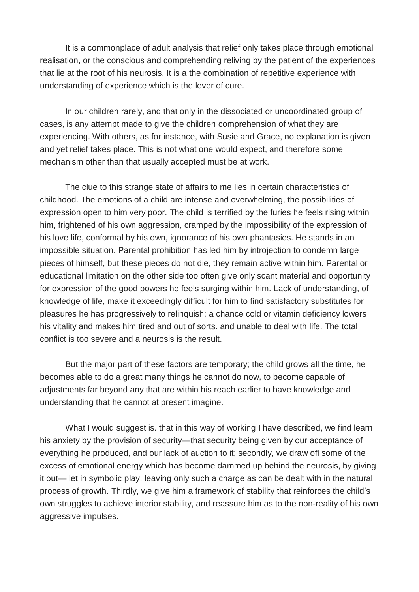It is a commonplace of adult analysis that relief only takes place through emotional realisation, or the conscious and comprehending reliving by the patient of the experiences that lie at the root of his neurosis. It is a the combination of repetitive experience with understanding of experience which is the lever of cure.

In our children rarely, and that only in the dissociated or uncoordinated group of cases, is any attempt made to give the children comprehension of what they are experiencing. With others, as for instance, with Susie and Grace, no explanation is given and yet relief takes place. This is not what one would expect, and therefore some mechanism other than that usually accepted must be at work.

The clue to this strange state of affairs to me lies in certain characteristics of childhood. The emotions of a child are intense and overwhelming, the possibilities of expression open to him very poor. The child is terrified by the furies he feels rising within him, frightened of his own aggression, cramped by the impossibility of the expression of his love life, conformal by his own, ignorance of his own phantasies. He stands in an impossible situation. Parental prohibition has led him by introjection to condemn large pieces of himself, but these pieces do not die, they remain active within him. Parental or educational limitation on the other side too often give only scant material and opportunity for expression of the good powers he feels surging within him. Lack of understanding, of knowledge of life, make it exceedingly difficult for him to find satisfactory substitutes for pleasures he has progressively to relinquish; a chance cold or vitamin deficiency lowers his vitality and makes him tired and out of sorts. and unable to deal with life. The total conflict is too severe and a neurosis is the result.

But the major part of these factors are temporary; the child grows all the time, he becomes able to do a great many things he cannot do now, to become capable of adjustments far beyond any that are within his reach earlier to have knowledge and understanding that he cannot at present imagine.

What I would suggest is. that in this way of working I have described, we find learn his anxiety by the provision of security—that security being given by our acceptance of everything he produced, and our lack of auction to it; secondly, we draw ofi some of the excess of emotional energy which has become dammed up behind the neurosis, by giving it out— let in symbolic play, leaving only such a charge as can be dealt with in the natural process of growth. Thirdly, we give him a framework of stability that reinforces the child's own struggles to achieve interior stability, and reassure him as to the non-reality of his own aggressive impulses.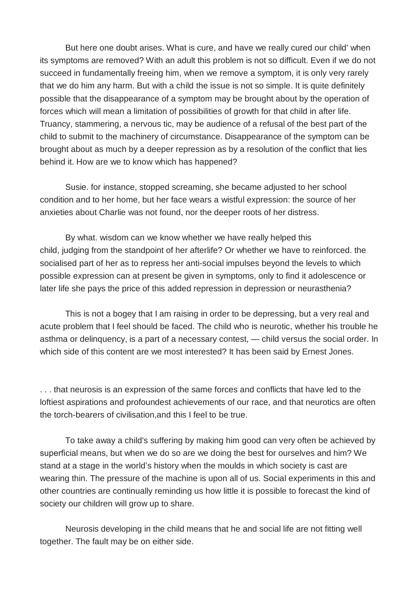But here one doubt arises. What is cure, and have we really cured our child' when its symptoms are removed? With an adult this problem is not so difficult. Even if we do not succeed in fundamentally freeing him, when we remove a symptom, it is only very rarely that we do him any harm. But with a child the issue is not so simple. It is quite definitely possible that the disappearance of a symptom may be brought about by the operation of forces which will mean a limitation of possibilities of growth for that child in after life. Truancy, stammering, a nervous tic, may be audience of a refusal of the best part of the child to submit to the machinery of circumstance. Disappearance of the symptom can be brought about as much by a deeper repression as by a resolution of the conflict that lies behind it. How are we to know which has happened?

Susie. for instance, stopped screaming, she became adjusted to her school condition and to her home, but her face wears a wistful expression: the source of her anxieties about Charlie was not found, nor the deeper roots of her distress.

By what. wisdom can we know whether we have really helped this child, judging from the standpoint of her afterlife? Or whether we have to reinforced. the socialised part of her as to repress her anti-social impulses beyond the levels to which possible expression can at present be given in symptoms, only to find it adolescence or later life she pays the price of this added repression in depression or neurasthenia?

This is not a bogey that I am raising in order to be depressing, but a very real and acute problem that I feel should be faced. The child who is neurotic, whether his trouble he asthma or delinquency, is a part of a necessary contest, — child versus the social order. In which side of this content are we most interested? It has been said by Ernest Jones.

. . . that neurosis is an expression of the same forces and conflicts that have led to the loftiest aspirations and profoundest achievements of our race, and that neurotics are often the torch-bearers of civilisation,and this I feel to be true.

To take away a child's suffering by making him good can very often be achieved by superficial means, but when we do so are we doing the best for ourselves and him? We stand at a stage in the world's history when the moulds in which society is cast are wearing thin. The pressure of the machine is upon all of us. Social experiments in this and other countries are continually reminding us how little it is possible to forecast the kind of society our children will grow up to share.

Neurosis developing in the child means that he and social life are not fitting well together. The fault may be on either side.